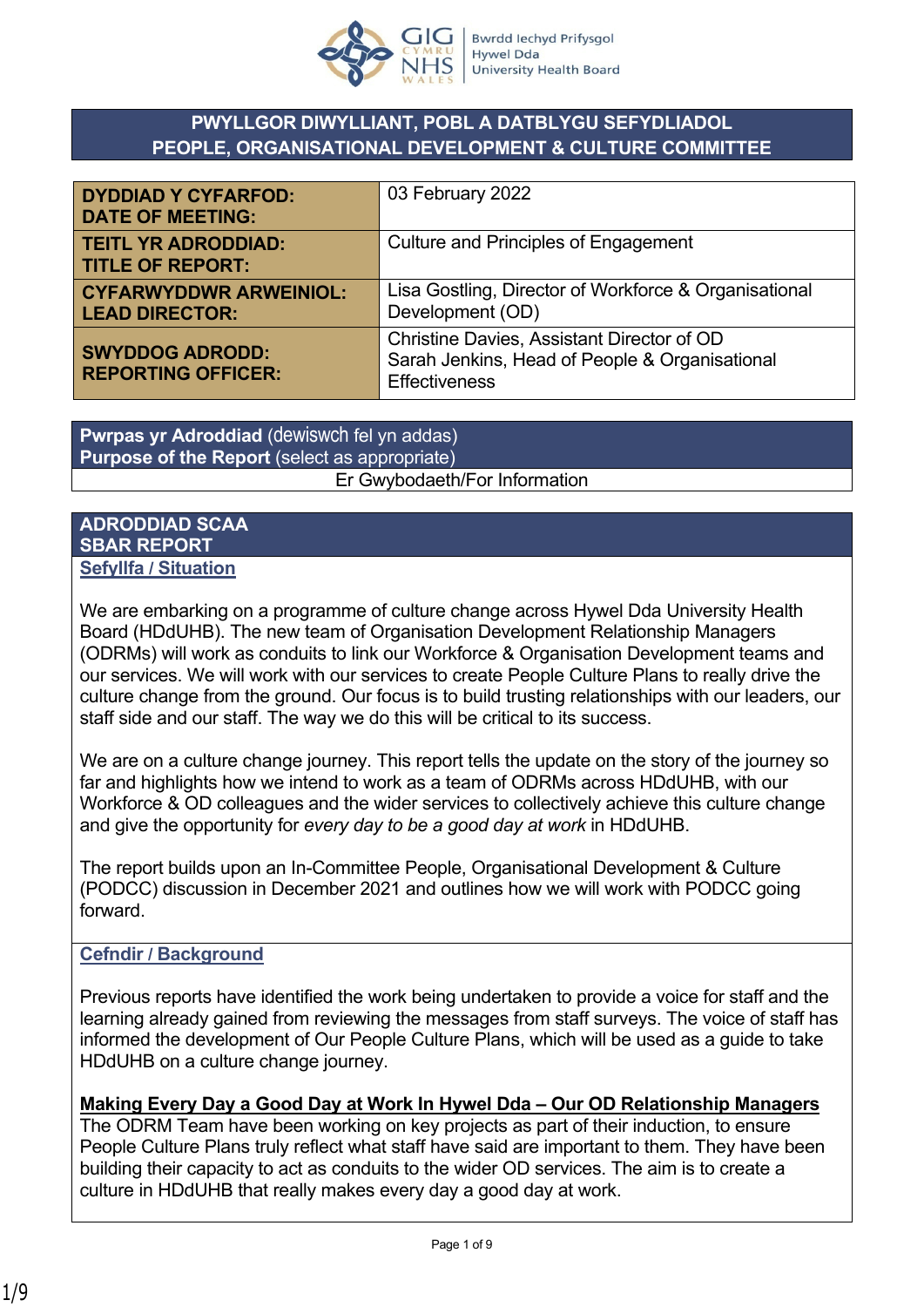

# **PWYLLGOR DIWYLLIANT, POBL A DATBLYGU SEFYDLIADOL PEOPLE, ORGANISATIONAL DEVELOPMENT & CULTURE COMMITTEE**

| <b>DYDDIAD Y CYFARFOD:</b><br><b>DATE OF MEETING:</b>  | 03 February 2022                                                                                                     |  |
|--------------------------------------------------------|----------------------------------------------------------------------------------------------------------------------|--|
| <b>TEITL YR ADRODDIAD:</b><br><b>TITLE OF REPORT:</b>  | Culture and Principles of Engagement                                                                                 |  |
| <b>CYFARWYDDWR ARWEINIOL:</b><br><b>LEAD DIRECTOR:</b> | Lisa Gostling, Director of Workforce & Organisational<br>Development (OD)                                            |  |
| <b>SWYDDOG ADRODD:</b><br><b>REPORTING OFFICER:</b>    | Christine Davies, Assistant Director of OD<br>Sarah Jenkins, Head of People & Organisational<br><b>Effectiveness</b> |  |

**Pwrpas yr Adroddiad** (dewiswch fel yn addas) **Purpose of the Report** (select as appropriate) Er Gwybodaeth/For Information

#### **ADRODDIAD SCAA SBAR REPORT Sefyllfa / Situation**

We are embarking on a programme of culture change across Hywel Dda University Health Board (HDdUHB). The new team of Organisation Development Relationship Managers (ODRMs) will work as conduits to link our Workforce & Organisation Development teams and our services. We will work with our services to create People Culture Plans to really drive the culture change from the ground. Our focus is to build trusting relationships with our leaders, our staff side and our staff. The way we do this will be critical to its success.

We are on a culture change journey. This report tells the update on the story of the journey so far and highlights how we intend to work as a team of ODRMs across HDdUHB, with our Workforce & OD colleagues and the wider services to collectively achieve this culture change and give the opportunity for *every day to be a good day at work* in HDdUHB.

The report builds upon an In-Committee People, Organisational Development & Culture (PODCC) discussion in December 2021 and outlines how we will work with PODCC going forward.

### **Cefndir / Background**

Previous reports have identified the work being undertaken to provide a voice for staff and the learning already gained from reviewing the messages from staff surveys. The voice of staff has informed the development of Our People Culture Plans, which will be used as a guide to take HDdUHB on a culture change journey.

**Making Every Day a Good Day at Work In Hywel Dda – Our OD Relationship Managers**  The ODRM Team have been working on key projects as part of their induction, to ensure People Culture Plans truly reflect what staff have said are important to them. They have been building their capacity to act as conduits to the wider OD services. The aim is to create a culture in HDdUHB that really makes every day a good day at work.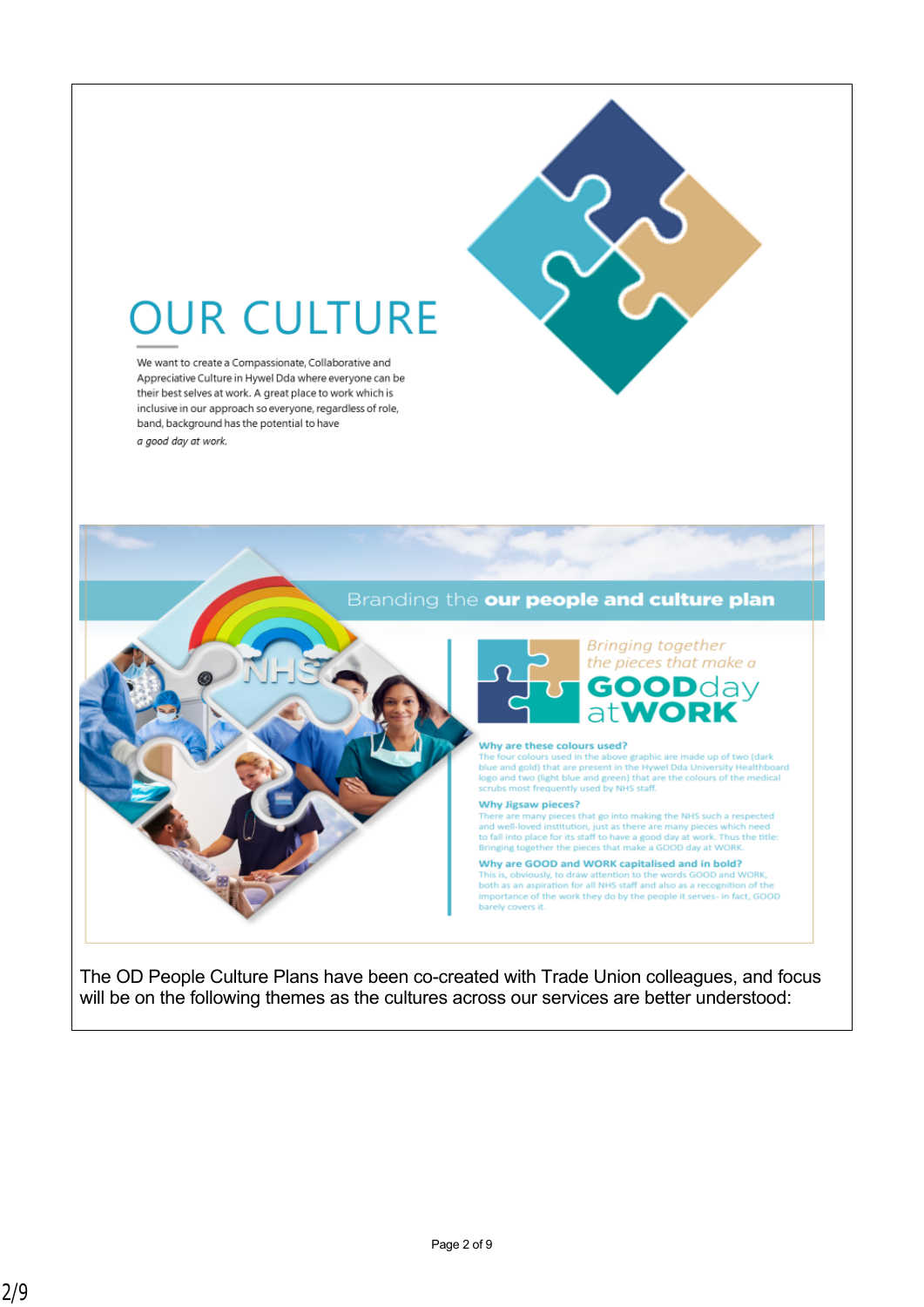

# **OUR CULTURE**

We want to create a Compassionate, Collaborative and Appreciative Culture in Hywel Dda where everyone can be their best selves at work. A great place to work which is inclusive in our approach so everyone, regardless of role, band, background has the potential to have

a good day at work.



The OD People Culture Plans have been co-created with Trade Union colleagues, and focus will be on the following themes as the cultures across our services are better understood: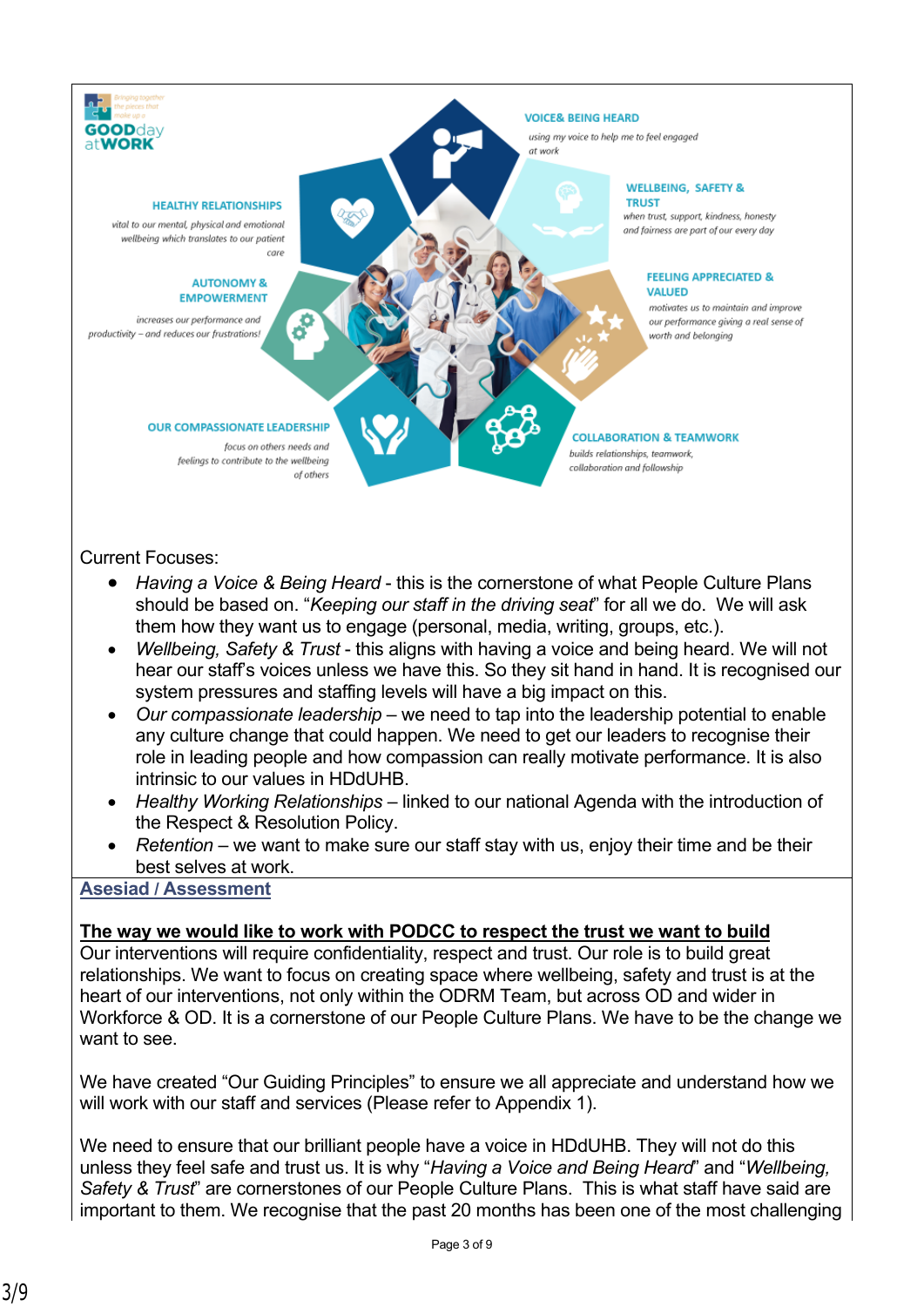

#### Current Focuses:

- *Having a Voice & Being Heard* this is the cornerstone of what People Culture Plans should be based on. "*Keeping our staff in the driving seat*" for all we do. We will ask them how they want us to engage (personal, media, writing, groups, etc.).
- *Wellbeing, Safety & Trust* this aligns with having a voice and being heard. We will not hear our staff's voices unless we have this. So they sit hand in hand. It is recognised our system pressures and staffing levels will have a big impact on this.
- *Our compassionate leadership* we need to tap into the leadership potential to enable any culture change that could happen. We need to get our leaders to recognise their role in leading people and how compassion can really motivate performance. It is also intrinsic to our values in HDdUHB.
- *Healthy Working Relationships* linked to our national Agenda with the introduction of the Respect & Resolution Policy.
- *Retention* we want to make sure our staff stay with us, enjoy their time and be their best selves at work.

### **Asesiad / Assessment**

### **The way we would like to work with PODCC to respect the trust we want to build**

Our interventions will require confidentiality, respect and trust. Our role is to build great relationships. We want to focus on creating space where wellbeing, safety and trust is at the heart of our interventions, not only within the ODRM Team, but across OD and wider in Workforce & OD. It is a cornerstone of our People Culture Plans. We have to be the change we want to see.

We have created "Our Guiding Principles" to ensure we all appreciate and understand how we will work with our staff and services (Please refer to Appendix 1).

We need to ensure that our brilliant people have a voice in HDdUHB. They will not do this unless they feel safe and trust us. It is why "*Having a Voice and Being Heard*" and "*Wellbeing, Safety & Trust*" are cornerstones of our People Culture Plans. This is what staff have said are important to them. We recognise that the past 20 months has been one of the most challenging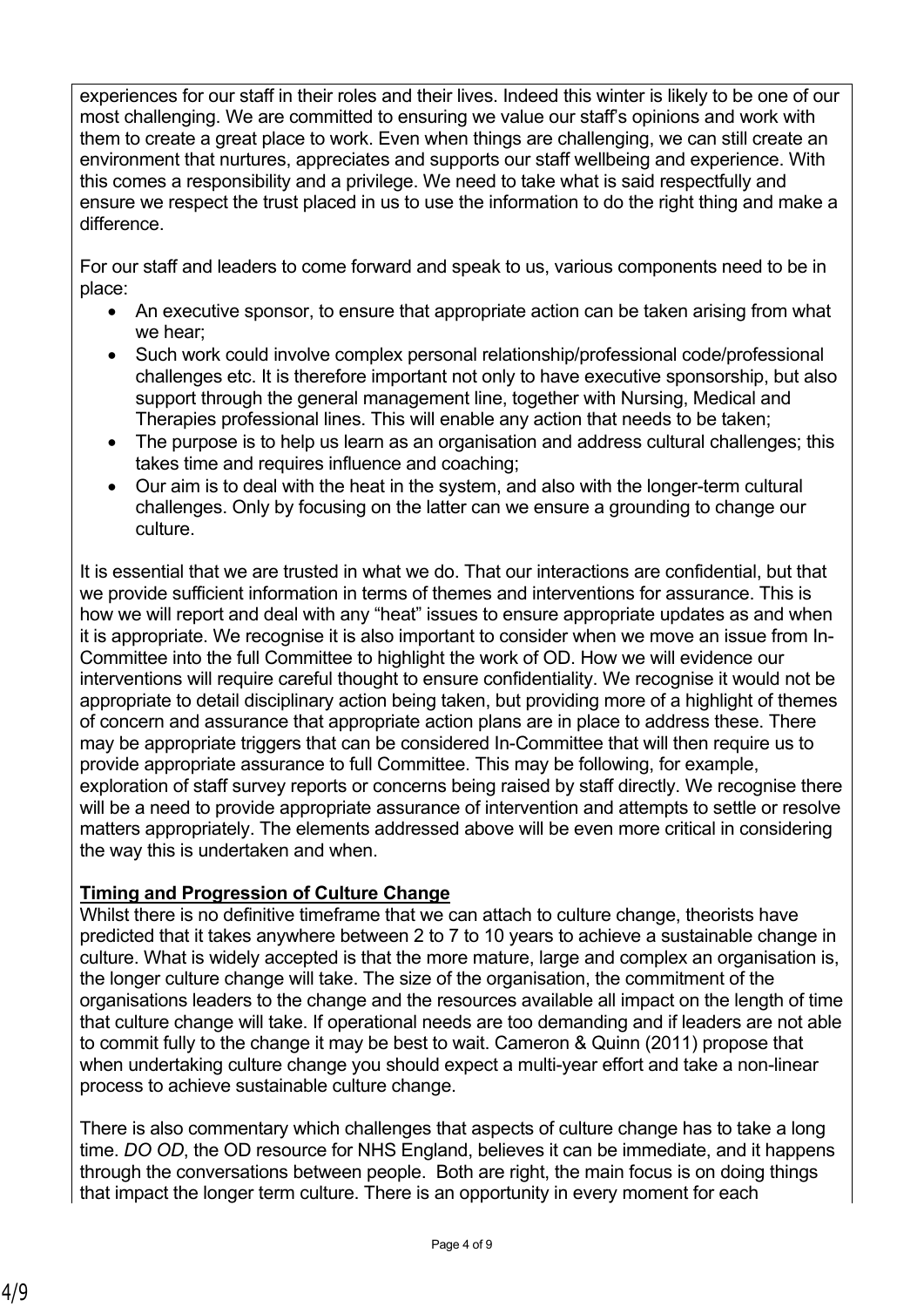experiences for our staff in their roles and their lives. Indeed this winter is likely to be one of our most challenging. We are committed to ensuring we value our staff's opinions and work with them to create a great place to work. Even when things are challenging, we can still create an environment that nurtures, appreciates and supports our staff wellbeing and experience. With this comes a responsibility and a privilege. We need to take what is said respectfully and ensure we respect the trust placed in us to use the information to do the right thing and make a difference.

For our staff and leaders to come forward and speak to us, various components need to be in place:

- An executive sponsor, to ensure that appropriate action can be taken arising from what we hear;
- Such work could involve complex personal relationship/professional code/professional challenges etc. It is therefore important not only to have executive sponsorship, but also support through the general management line, together with Nursing, Medical and Therapies professional lines. This will enable any action that needs to be taken;
- The purpose is to help us learn as an organisation and address cultural challenges; this takes time and requires influence and coaching;
- Our aim is to deal with the heat in the system, and also with the longer-term cultural challenges. Only by focusing on the latter can we ensure a grounding to change our culture.

It is essential that we are trusted in what we do. That our interactions are confidential, but that we provide sufficient information in terms of themes and interventions for assurance. This is how we will report and deal with any "heat" issues to ensure appropriate updates as and when it is appropriate. We recognise it is also important to consider when we move an issue from In-Committee into the full Committee to highlight the work of OD. How we will evidence our interventions will require careful thought to ensure confidentiality. We recognise it would not be appropriate to detail disciplinary action being taken, but providing more of a highlight of themes of concern and assurance that appropriate action plans are in place to address these. There may be appropriate triggers that can be considered In-Committee that will then require us to provide appropriate assurance to full Committee. This may be following, for example, exploration of staff survey reports or concerns being raised by staff directly. We recognise there will be a need to provide appropriate assurance of intervention and attempts to settle or resolve matters appropriately. The elements addressed above will be even more critical in considering the way this is undertaken and when.

# **Timing and Progression of Culture Change**

Whilst there is no definitive timeframe that we can attach to culture change, theorists have predicted that it takes anywhere between 2 to 7 to 10 years to achieve a sustainable change in culture. What is widely accepted is that the more mature, large and complex an organisation is, the longer culture change will take. The size of the organisation, the commitment of the organisations leaders to the change and the resources available all impact on the length of time that culture change will take. If operational needs are too demanding and if leaders are not able to commit fully to the change it may be best to wait. Cameron & Quinn (2011) propose that when undertaking culture change you should expect a multi-year effort and take a non-linear process to achieve sustainable culture change.

There is also commentary which challenges that aspects of culture change has to take a long time. *DO OD*, the OD resource for NHS England, believes it can be immediate, and it happens through the conversations between people. Both are right, the main focus is on doing things that impact the longer term culture. There is an opportunity in every moment for each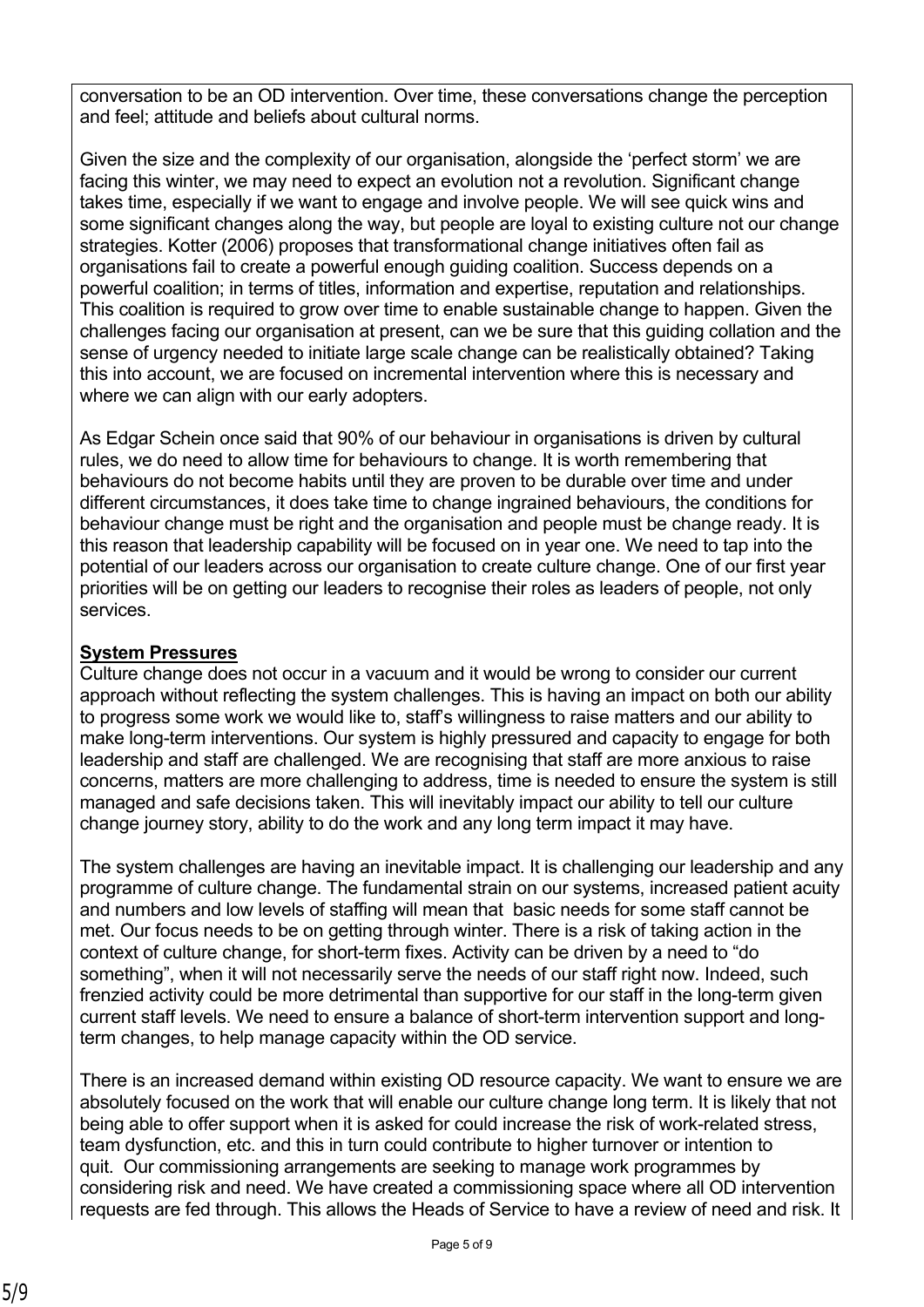conversation to be an OD intervention. Over time, these conversations change the perception and feel; attitude and beliefs about cultural norms.

Given the size and the complexity of our organisation, alongside the 'perfect storm' we are facing this winter, we may need to expect an evolution not a revolution. Significant change takes time, especially if we want to engage and involve people. We will see quick wins and some significant changes along the way, but people are loyal to existing culture not our change strategies. Kotter (2006) proposes that transformational change initiatives often fail as organisations fail to create a powerful enough guiding coalition. Success depends on a powerful coalition; in terms of titles, information and expertise, reputation and relationships. This coalition is required to grow over time to enable sustainable change to happen. Given the challenges facing our organisation at present, can we be sure that this guiding collation and the sense of urgency needed to initiate large scale change can be realistically obtained? Taking this into account, we are focused on incremental intervention where this is necessary and where we can align with our early adopters.

As Edgar Schein once said that 90% of our behaviour in organisations is driven by cultural rules, we do need to allow time for behaviours to change. It is worth remembering that behaviours do not become habits until they are proven to be durable over time and under different circumstances, it does take time to change ingrained behaviours, the conditions for behaviour change must be right and the organisation and people must be change ready. It is this reason that leadership capability will be focused on in year one. We need to tap into the potential of our leaders across our organisation to create culture change. One of our first year priorities will be on getting our leaders to recognise their roles as leaders of people, not only services.

# **System Pressures**

Culture change does not occur in a vacuum and it would be wrong to consider our current approach without reflecting the system challenges. This is having an impact on both our ability to progress some work we would like to, staff's willingness to raise matters and our ability to make long-term interventions. Our system is highly pressured and capacity to engage for both leadership and staff are challenged. We are recognising that staff are more anxious to raise concerns, matters are more challenging to address, time is needed to ensure the system is still managed and safe decisions taken. This will inevitably impact our ability to tell our culture change journey story, ability to do the work and any long term impact it may have.

The system challenges are having an inevitable impact. It is challenging our leadership and any programme of culture change. The fundamental strain on our systems, increased patient acuity and numbers and low levels of staffing will mean that basic needs for some staff cannot be met. Our focus needs to be on getting through winter. There is a risk of taking action in the context of culture change, for short-term fixes. Activity can be driven by a need to "do something", when it will not necessarily serve the needs of our staff right now. Indeed, such frenzied activity could be more detrimental than supportive for our staff in the long-term given current staff levels. We need to ensure a balance of short-term intervention support and longterm changes, to help manage capacity within the OD service.

There is an increased demand within existing OD resource capacity. We want to ensure we are absolutely focused on the work that will enable our culture change long term. It is likely that not being able to offer support when it is asked for could increase the risk of work-related stress, team dysfunction, etc. and this in turn could contribute to higher turnover or intention to quit. Our commissioning arrangements are seeking to manage work programmes by considering risk and need. We have created a commissioning space where all OD intervention requests are fed through. This allows the Heads of Service to have a review of need and risk. It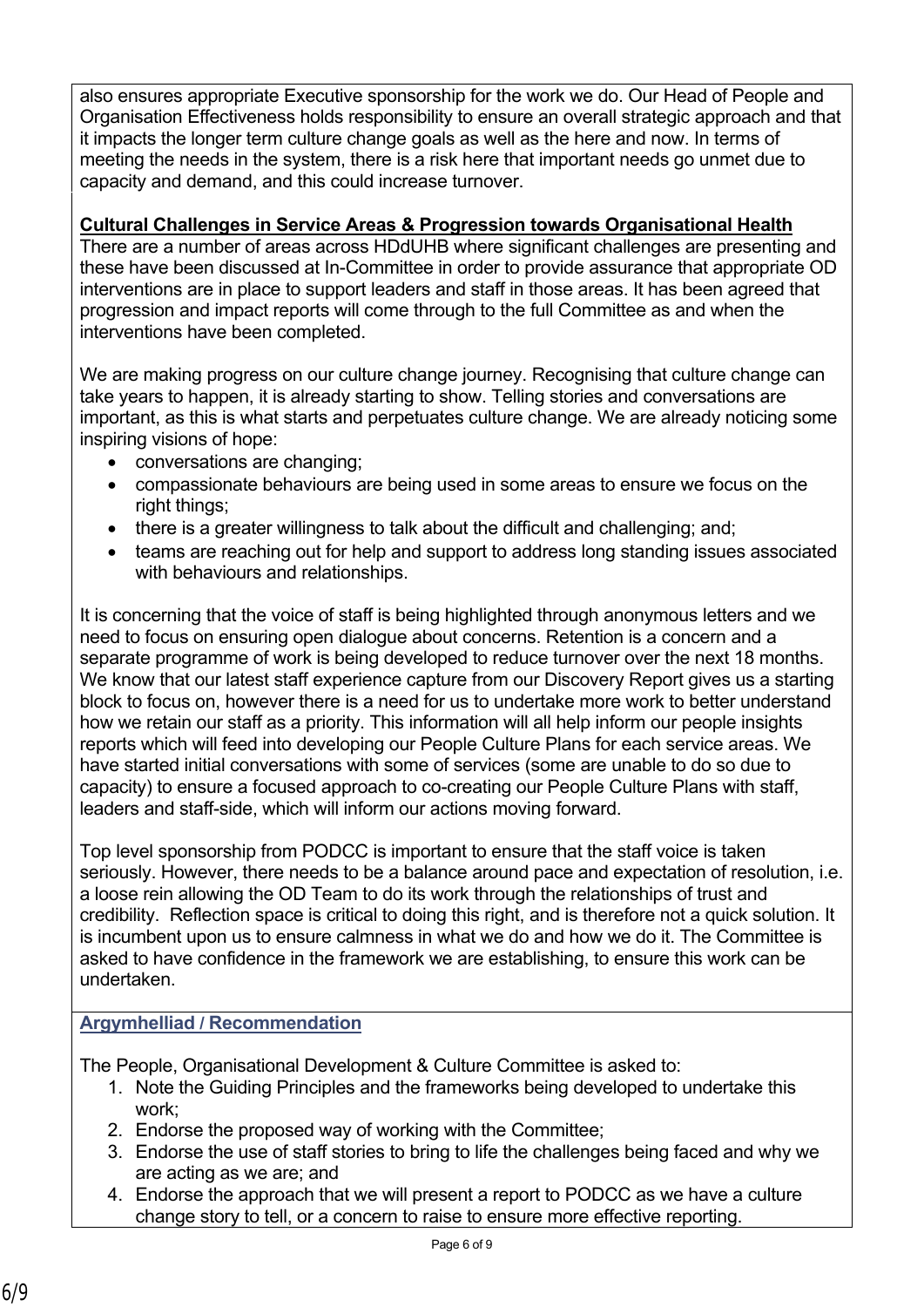also ensures appropriate Executive sponsorship for the work we do. Our Head of People and Organisation Effectiveness holds responsibility to ensure an overall strategic approach and that it impacts the longer term culture change goals as well as the here and now. In terms of meeting the needs in the system, there is a risk here that important needs go unmet due to capacity and demand, and this could increase turnover.

## **Cultural Challenges in Service Areas & Progression towards Organisational Health**

There are a number of areas across HDdUHB where significant challenges are presenting and these have been discussed at In-Committee in order to provide assurance that appropriate OD interventions are in place to support leaders and staff in those areas. It has been agreed that progression and impact reports will come through to the full Committee as and when the interventions have been completed.

We are making progress on our culture change journey. Recognising that culture change can take years to happen, it is already starting to show. Telling stories and conversations are important, as this is what starts and perpetuates culture change. We are already noticing some inspiring visions of hope:

- conversations are changing;
- compassionate behaviours are being used in some areas to ensure we focus on the right things;
- there is a greater willingness to talk about the difficult and challenging; and;
- teams are reaching out for help and support to address long standing issues associated with behaviours and relationships.

It is concerning that the voice of staff is being highlighted through anonymous letters and we need to focus on ensuring open dialogue about concerns. Retention is a concern and a separate programme of work is being developed to reduce turnover over the next 18 months. We know that our latest staff experience capture from our Discovery Report gives us a starting block to focus on, however there is a need for us to undertake more work to better understand how we retain our staff as a priority. This information will all help inform our people insights reports which will feed into developing our People Culture Plans for each service areas. We have started initial conversations with some of services (some are unable to do so due to capacity) to ensure a focused approach to co-creating our People Culture Plans with staff, leaders and staff-side, which will inform our actions moving forward.

Top level sponsorship from PODCC is important to ensure that the staff voice is taken seriously. However, there needs to be a balance around pace and expectation of resolution, i.e. a loose rein allowing the OD Team to do its work through the relationships of trust and credibility. Reflection space is critical to doing this right, and is therefore not a quick solution. It is incumbent upon us to ensure calmness in what we do and how we do it. The Committee is asked to have confidence in the framework we are establishing, to ensure this work can be undertaken.

### **Argymhelliad / Recommendation**

The People, Organisational Development & Culture Committee is asked to:

- 1. Note the Guiding Principles and the frameworks being developed to undertake this work;
- 2. Endorse the proposed way of working with the Committee;
- 3. Endorse the use of staff stories to bring to life the challenges being faced and why we are acting as we are; and
- 4. Endorse the approach that we will present a report to PODCC as we have a culture change story to tell, or a concern to raise to ensure more effective reporting.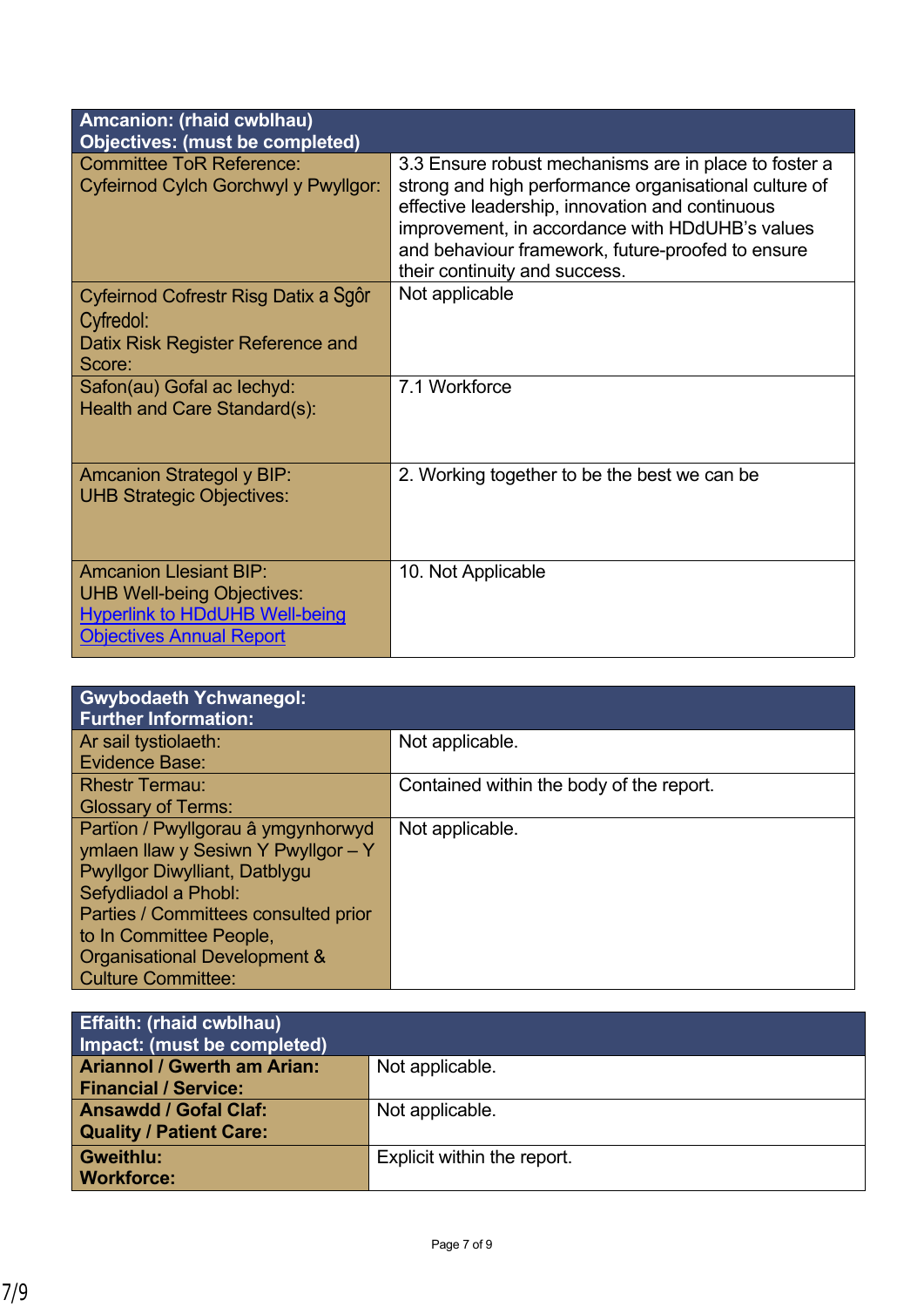| Amcanion: (rhaid cwblhau)<br><b>Objectives: (must be completed)</b>                                                                            |                                                                                                                                                                                                                                                                                                            |
|------------------------------------------------------------------------------------------------------------------------------------------------|------------------------------------------------------------------------------------------------------------------------------------------------------------------------------------------------------------------------------------------------------------------------------------------------------------|
| <b>Committee ToR Reference:</b><br>Cyfeirnod Cylch Gorchwyl y Pwyllgor:                                                                        | 3.3 Ensure robust mechanisms are in place to foster a<br>strong and high performance organisational culture of<br>effective leadership, innovation and continuous<br>improvement, in accordance with HDdUHB's values<br>and behaviour framework, future-proofed to ensure<br>their continuity and success. |
| Cyfeirnod Cofrestr Risg Datix a Sgôr<br>Cyfredol:<br>Datix Risk Register Reference and<br>Score:                                               | Not applicable                                                                                                                                                                                                                                                                                             |
| Safon(au) Gofal ac lechyd:<br>Health and Care Standard(s):                                                                                     | 7.1 Workforce                                                                                                                                                                                                                                                                                              |
| <b>Amcanion Strategol y BIP:</b><br><b>UHB Strategic Objectives:</b>                                                                           | 2. Working together to be the best we can be                                                                                                                                                                                                                                                               |
| <b>Amcanion Llesiant BIP:</b><br><b>UHB Well-being Objectives:</b><br><b>Hyperlink to HDdUHB Well-being</b><br><b>Objectives Annual Report</b> | 10. Not Applicable                                                                                                                                                                                                                                                                                         |

| <b>Gwybodaeth Ychwanegol:</b><br><b>Further Information:</b> |                                          |
|--------------------------------------------------------------|------------------------------------------|
| Ar sail tystiolaeth:                                         | Not applicable.                          |
| Evidence Base:                                               |                                          |
| <b>Rhestr Termau:</b>                                        | Contained within the body of the report. |
| <b>Glossary of Terms:</b>                                    |                                          |
| Partïon / Pwyllgorau â ymgynhorwyd                           | Not applicable.                          |
| ymlaen llaw y Sesiwn Y Pwyllgor - Y                          |                                          |
| Pwyllgor Diwylliant, Datblygu                                |                                          |
| Sefydliadol a Phobl:                                         |                                          |
| Parties / Committees consulted prior                         |                                          |
| to In Committee People,                                      |                                          |
| Organisational Development &                                 |                                          |
| <b>Culture Committee:</b>                                    |                                          |

| <b>Effaith: (rhaid cwblhau)</b><br>Impact: (must be completed) |                             |
|----------------------------------------------------------------|-----------------------------|
| <b>Ariannol / Gwerth am Arian:</b>                             | Not applicable.             |
| <b>Financial / Service:</b>                                    |                             |
| <b>Ansawdd / Gofal Claf:</b>                                   | Not applicable.             |
| <b>Quality / Patient Care:</b>                                 |                             |
| <b>Gweithlu:</b>                                               | Explicit within the report. |
| <b>Workforce:</b>                                              |                             |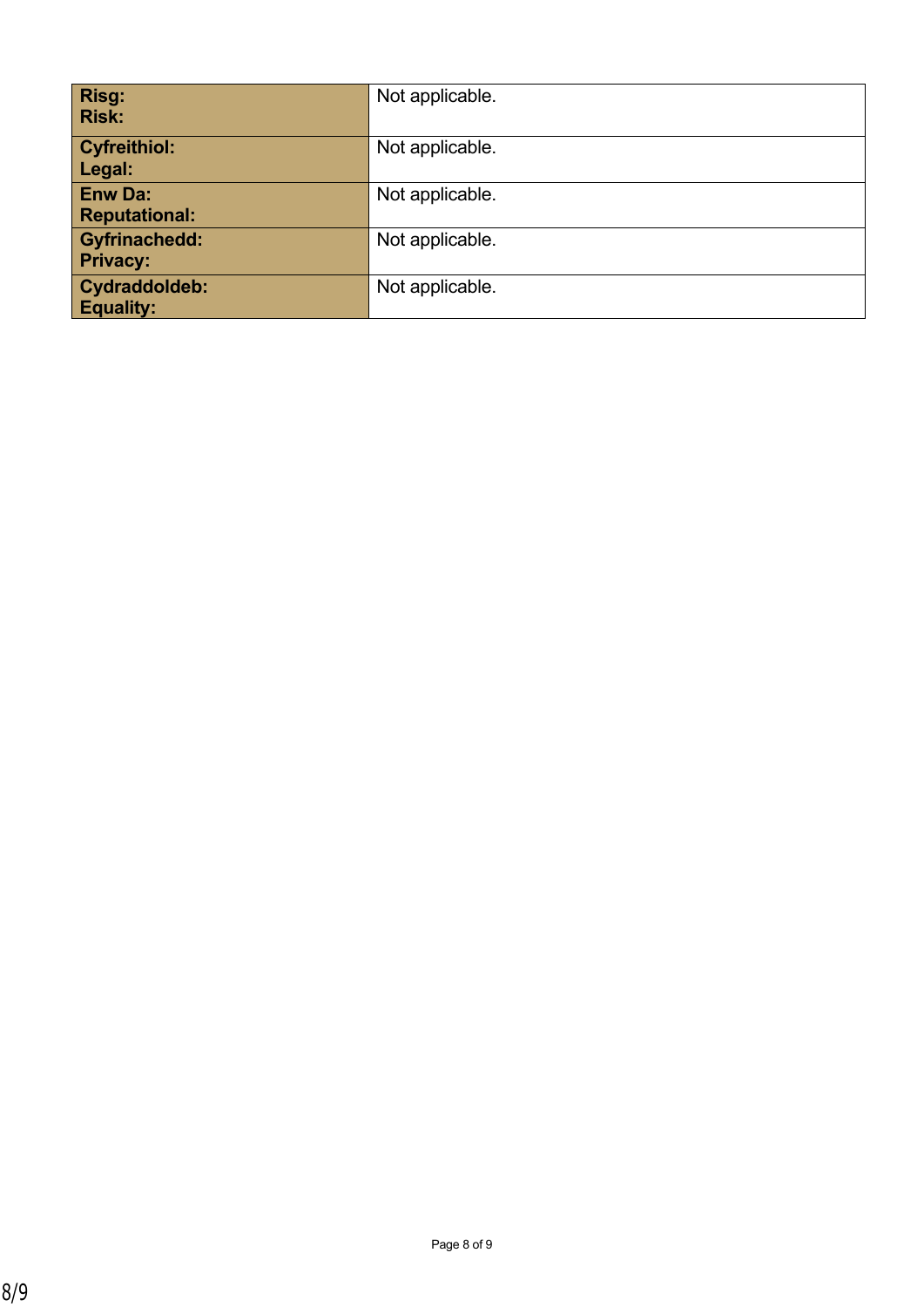| <b>Risg:</b><br><b>Risk:</b>            | Not applicable. |
|-----------------------------------------|-----------------|
| <b>Cyfreithiol:</b><br>Legal:           | Not applicable. |
| <b>Enw Da:</b><br><b>Reputational:</b>  | Not applicable. |
| <b>Gyfrinachedd:</b><br><b>Privacy:</b> | Not applicable. |
| Cydraddoldeb:<br><b>Equality:</b>       | Not applicable. |